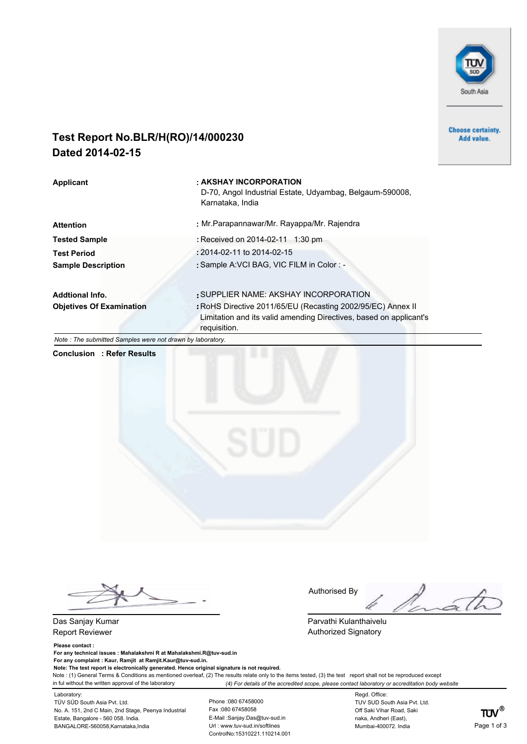

**Choose certainty.** Add value.

# **Test Report No.BLR/H(RO)/14/000230 Dated 2014-02-15**

Applicant **AUDITION** : AKSHAY INCORPORATION D-70, Angol Industrial Estate, Udyambag, Belgaum-590008, Karnataka, India **Attention :** Mr.Parapannawar/Mr. Rayappa/Mr. Rajendra **Tested Sample :** Received on 2014-02-11 1:30 pm **Test Period :** 2014-02-11 to 2014-02-15 Sample Description : Sample A:VCI BAG, VIC FILM in Color : -**Addtional Info. :**SUPPLIER NAME: AKSHAY INCORPORATION **Objetives Of Examination : RoHS Directive 2011/65/EU (Recasting 2002/95/EC) Annex II** Limitation and its valid amending Directives, based on applicant's requisition.

*Note : The submitted Samples were not drawn by laboratory.*

**Conclusion : Refer Results**



Das Sanjay Kumar Report Reviewer

#### **Please contact :**

**For any technical issues : Mahalakshmi R at Mahalakshmi.R@tuv-sud.in For any complaint : Kaur, Ramjit at Ramjit.Kaur@tuv-sud.in. Note: The test report is electronically generated. Hence original signature is not required.** 

Authorised By

Parvathi Kulanthaivelu Authorized Signatory

Note : (1) General Terms & Conditions as mentioned overleaf, (2) The results relate only to the items tested, (3) the test report shall not be reproduced except in ful without the written approval of the laboratory *(4) For details of the accredited scope, please contact laboratory or accreditation body website*

Laboratory: TÜV SÜD South Asia Pvt. Ltd. No. A. 151, 2nd C Main, 2nd Stage, Peenya Industrial Estate, Bangalore - 560 058. India. BANGALORE-560058,Karnataka,India **Page 1 of 3** Uni: www.tuv-sud.in/softlines Mumbai-400072. India Page 1 of 3

Phone :080 67458000 Fax :080 67458058 E-Mail :Sanjay.Das@tuv-sud.in Url : www.tuv-sud.in/softlines ControlNo:15310221.110214.001 Regd. Office: TUV SUD South Asia Pvt. Ltd. Off Saki Vihar Road, Saki naka, Andheri (East), Mumbai-400072. India

 $TUV^{\circledast}$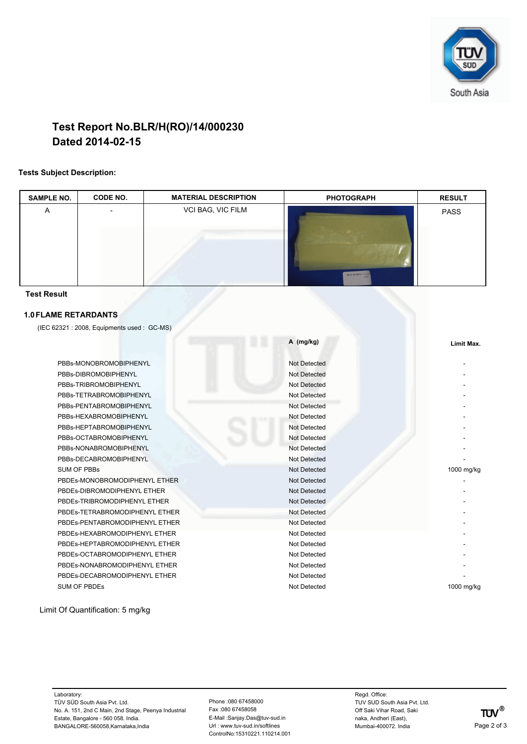

# **Test Report No.BLR/H(RO)/14/000230 Dated 2014-02-15**

### **Tests Subject Description:**

| <b>SAMPLE NO.</b>              | CODE NO.                                  | <b>MATERIAL DESCRIPTION</b> | <b>PHOTOGRAPH</b>   | <b>RESULT</b> |
|--------------------------------|-------------------------------------------|-----------------------------|---------------------|---------------|
| Α                              |                                           | VCI BAG, VIC FILM           | <b>U.R. HI(RO)/</b> | <b>PASS</b>   |
| <b>Test Result</b>             |                                           |                             |                     |               |
| <b>1.0 FLAME RETARDANTS</b>    |                                           |                             |                     |               |
|                                | (IEC 62321: 2008, Equipments used: GC-MS) |                             |                     |               |
|                                |                                           | H I                         | A (mg/kg)           | Limit Max.    |
|                                | PBBs-MONOBROMOBIPHENYL                    |                             | <b>Not Detected</b> |               |
| PBBs-DIBROMOBIPHENYL           |                                           |                             | <b>Not Detected</b> |               |
| PBBs-TRIBROMOBIPHENYL          |                                           |                             | <b>Not Detected</b> |               |
| PBBs-TETRABROMOBIPHENYL        |                                           |                             | <b>Not Detected</b> |               |
| PBBs-PENTABROMOBIPHENYL        |                                           |                             | <b>Not Detected</b> |               |
|                                | PBBs-HEXABROMOBIPHENYL                    |                             | Not Detected        |               |
| PBBs-HEPTABROMOBIPHENYL        |                                           |                             | <b>Not Detected</b> |               |
| PBBs-OCTABROMOBIPHENYL         |                                           |                             | Not Detected        |               |
|                                | PBBs-NONABROMOBIPHENYL                    |                             | <b>Not Detected</b> |               |
|                                | PBBs-DECABROMOBIPHENYL                    |                             | <b>Not Detected</b> |               |
|                                | <b>SUM OF PBBs</b>                        |                             | Not Detected        | 1000 mg/kg    |
|                                | PBDEs-MONOBROMODIPHENYL ETHER             |                             | Not Detected        |               |
|                                | PBDEs-DIBROMODIPHENYL ETHER               |                             | Not Detected        |               |
|                                | PBDEs-TRIBROMODIPHENYL ETHER              |                             | Not Detected        |               |
| PBDEs-TETRABROMODIPHENYL ETHER |                                           |                             | Not Detected        |               |
|                                | PBDEs-PENTABROMODIPHENYL ETHER            |                             | Not Detected        |               |
|                                | PBDEs-HEXABROMODIPHENYL ETHER             |                             | Not Detected        |               |
|                                | PBDEs-HEPTABROMODIPHENYL ETHER            |                             | Not Detected        |               |
| PBDEs-OCTABROMODIPHENYL ETHER  |                                           |                             | Not Detected        |               |
|                                | PBDEs-NONABROMODIPHENYL ETHER             |                             | Not Detected        |               |
|                                | PBDEs-DECABROMODIPHENYL ETHER             |                             | Not Detected        |               |
|                                | <b>SUM OF PBDES</b>                       |                             | Not Detected        | 1000 mg/kg    |

Limit Of Quantification: 5 mg/kg

Laboratory: TÜV SÜD South Asia Pvt. Ltd. No. A. 151, 2nd C Main, 2nd Stage, Peenya Industrial Estate, Bangalore - 560 058. India. BANGALORE-560058,Karnataka,India entertainmentelline Unix and District Muslim and District Muslim and District Muslim Softlines and Mumbai-400072. India Page 2 of 3

Phone :080 67458000 Fax :080 67458058 E-Mail :Sanjay.Das@tuv-sud.in Url : www.tuv-sud.in/softlines ControlNo:15310221.110214.001 Regd. Office: TUV SUD South Asia Pvt. Ltd. Off Saki Vihar Road, Saki naka, Andheri (East), Mumbai-400072. India